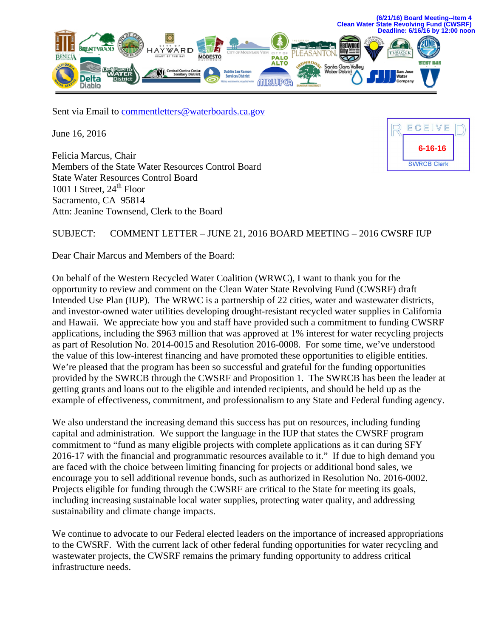

Sent via Email to comment letters@waterboards.ca.gov

June 16, 2016

Felicia Marcus, Chair Members of the State Water Resources Control Board State Water Resources Control Board 1001 I Street,  $24<sup>th</sup>$  Floor Sacramento, CA 95814 Attn: Jeanine Townsend, Clerk to the Board

ECEIVE **6-16-16SWRCB Clerk** 

## SUBJECT: COMMENT LETTER – JUNE 21, 2016 BOARD MEETING – 2016 CWSRF IUP

Dear Chair Marcus and Members of the Board:

On behalf of the Western Recycled Water Coalition (WRWC), I want to thank you for the opportunity to review and comment on the Clean Water State Revolving Fund (CWSRF) draft Intended Use Plan (IUP). The WRWC is a partnership of 22 cities, water and wastewater districts, and investor-owned water utilities developing drought-resistant recycled water supplies in California and Hawaii. We appreciate how you and staff have provided such a commitment to funding CWSRF applications, including the \$963 million that was approved at 1% interest for water recycling projects as part of Resolution No. 2014-0015 and Resolution 2016-0008. For some time, we've understood the value of this low-interest financing and have promoted these opportunities to eligible entities. We're pleased that the program has been so successful and grateful for the funding opportunities provided by the SWRCB through the CWSRF and Proposition 1. The SWRCB has been the leader at getting grants and loans out to the eligible and intended recipients, and should be held up as the example of effectiveness, commitment, and professionalism to any State and Federal funding agency.

We also understand the increasing demand this success has put on resources, including funding capital and administration. We support the language in the IUP that states the CWSRF program commitment to "fund as many eligible projects with complete applications as it can during SFY 2016-17 with the financial and programmatic resources available to it." If due to high demand you are faced with the choice between limiting financing for projects or additional bond sales, we encourage you to sell additional revenue bonds, such as authorized in Resolution No. 2016-0002. Projects eligible for funding through the CWSRF are critical to the State for meeting its goals, including increasing sustainable local water supplies, protecting water quality, and addressing sustainability and climate change impacts.

We continue to advocate to our Federal elected leaders on the importance of increased appropriations to the CWSRF. With the current lack of other federal funding opportunities for water recycling and wastewater projects, the CWSRF remains the primary funding opportunity to address critical infrastructure needs.